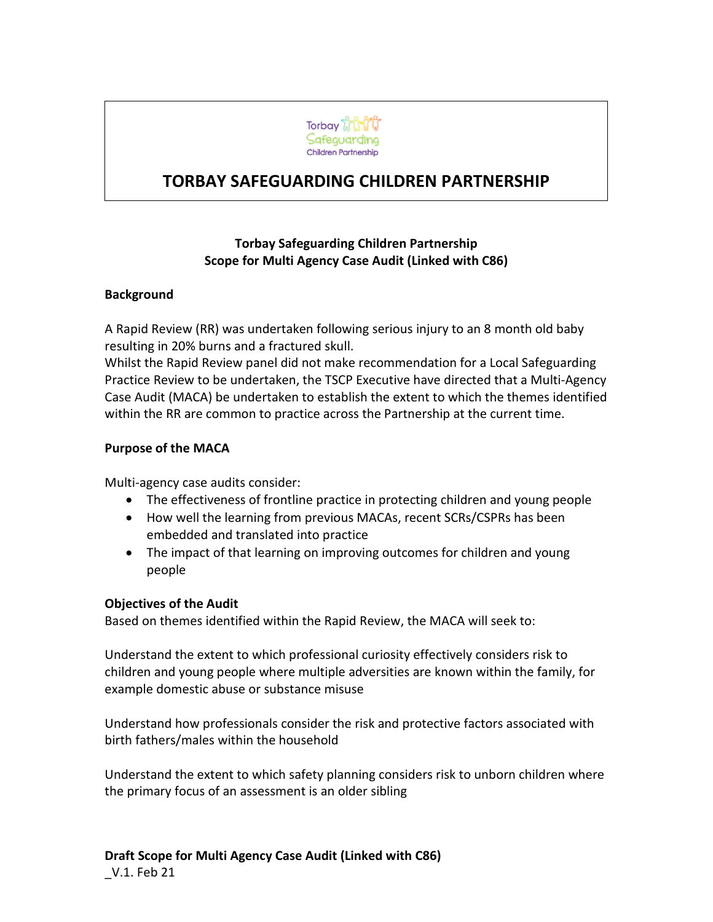

# **TORBAY SAFEGUARDING CHILDREN PARTNERSHIP**

## **Torbay Safeguarding Children Partnership Scope for Multi Agency Case Audit (Linked with C86)**

#### **Background**

A Rapid Review (RR) was undertaken following serious injury to an 8 month old baby resulting in 20% burns and a fractured skull.

Whilst the Rapid Review panel did not make recommendation for a Local Safeguarding Practice Review to be undertaken, the TSCP Executive have directed that a Multi-Agency Case Audit (MACA) be undertaken to establish the extent to which the themes identified within the RR are common to practice across the Partnership at the current time.

### **Purpose of the MACA**

Multi-agency case audits consider:

- The effectiveness of frontline practice in protecting children and young people
- How well the learning from previous MACAs, recent SCRs/CSPRs has been embedded and translated into practice
- The impact of that learning on improving outcomes for children and young people

#### **Objectives of the Audit**

Based on themes identified within the Rapid Review, the MACA will seek to:

Understand the extent to which professional curiosity effectively considers risk to children and young people where multiple adversities are known within the family, for example domestic abuse or substance misuse

Understand how professionals consider the risk and protective factors associated with birth fathers/males within the household

Understand the extent to which safety planning considers risk to unborn children where the primary focus of an assessment is an older sibling